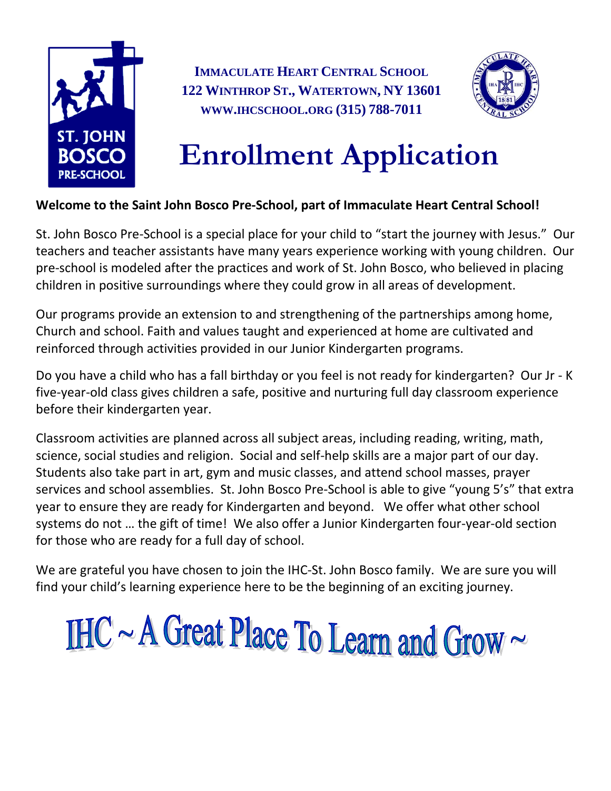

**IMMACULATE HEART CENTRAL SCHOOL 122 WINTHROP ST., WATERTOWN, NY 13601 WWW.IHCSCHOOL.ORG (315) 788-7011**



# **Enrollment Application**

#### **Welcome to the Saint John Bosco Pre-School, part of Immaculate Heart Central School!**

St. John Bosco Pre-School is a special place for your child to "start the journey with Jesus." Our teachers and teacher assistants have many years experience working with young children. Our pre-school is modeled after the practices and work of St. John Bosco, who believed in placing children in positive surroundings where they could grow in all areas of development.

Our programs provide an extension to and strengthening of the partnerships among home, Church and school. Faith and values taught and experienced at home are cultivated and reinforced through activities provided in our Junior Kindergarten programs.

Do you have a child who has a fall birthday or you feel is not ready for kindergarten? Our Jr - K five-year-old class gives children a safe, positive and nurturing full day classroom experience before their kindergarten year.

Classroom activities are planned across all subject areas, including reading, writing, math, science, social studies and religion. Social and self-help skills are a major part of our day. Students also take part in art, gym and music classes, and attend school masses, prayer services and school assemblies. St. John Bosco Pre-School is able to give "young 5's" that extra year to ensure they are ready for Kindergarten and beyond. We offer what other school systems do not … the gift of time! We also offer a Junior Kindergarten four-year-old section for those who are ready for a full day of school.

We are grateful you have chosen to join the IHC-St. John Bosco family. We are sure you will find your child's learning experience here to be the beginning of an exciting journey.

IHC ~ A Great Place To Learn and Grow~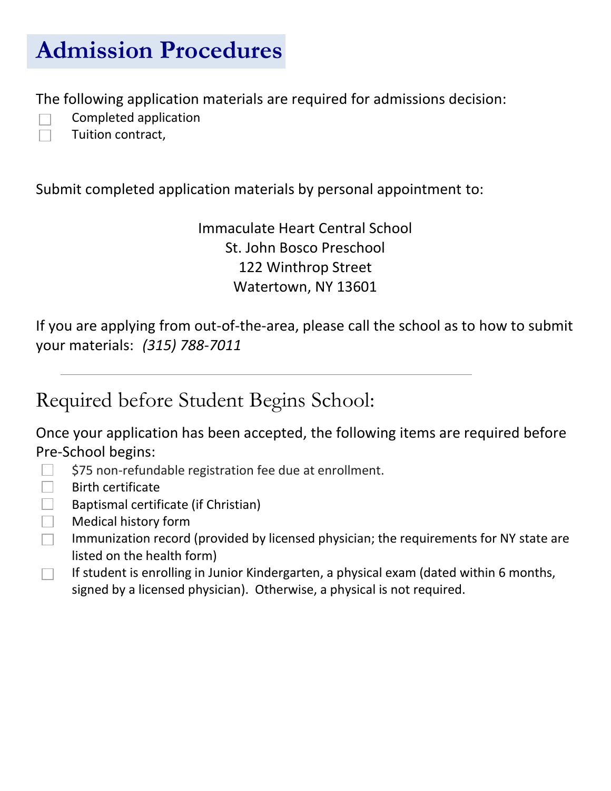## **Admission Procedures**

The following application materials are required for admissions decision:

- Completed application
- Tuition contract,

Submit completed application materials by personal appointment to:

Immaculate Heart Central School St. John Bosco Preschool 122 Winthrop Street Watertown, NY 13601

If you are applying from out-of-the-area, please call the school as to how to submit your materials: *(315) 788-7011*

Required before Student Begins School:

Once your application has been accepted, the following items are required before Pre-School begins:

- \$75 non-refundable registration fee due at enrollment.
- Birth certificate
- Baptismal certificate (if Christian)  $\Box$
- $\Box$ Medical history form
- Immunization record (provided by licensed physician; the requirements for NY state are  $\Box$ listed on the health form)
- If student is enrolling in Junior Kindergarten, a physical exam (dated within 6 months,  $\Box$ signed by a licensed physician). Otherwise, a physical is not required.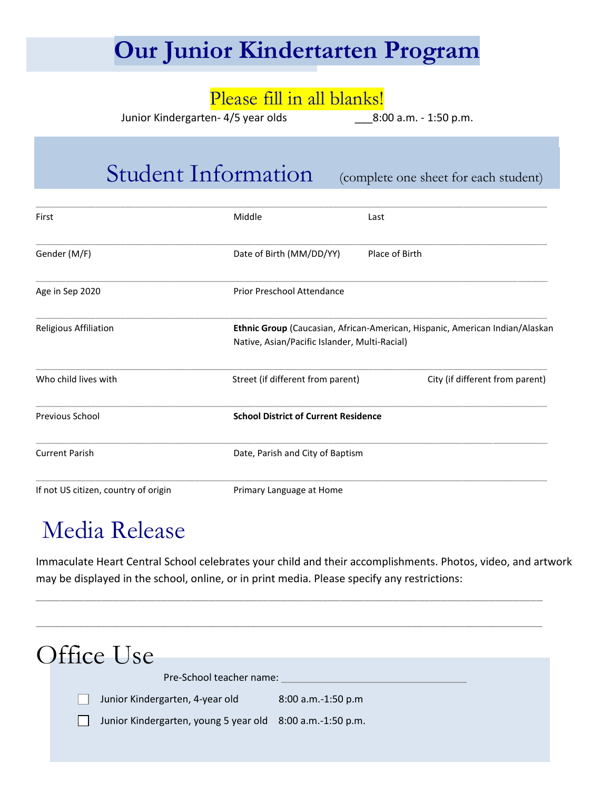## **Our Junior Kindertarten Program**

### Please fill in all blanks!

Junior Kindergarten- 4/5 year olds \_\_\_8:00 a.m. - 1:50 p.m.

### Student Information (complete one sheet for each student)

| First                                | Middle                                        | Last                                                                         |
|--------------------------------------|-----------------------------------------------|------------------------------------------------------------------------------|
| Gender (M/F)                         | Date of Birth (MM/DD/YY)                      | Place of Birth                                                               |
| Age in Sep 2020                      | <b>Prior Preschool Attendance</b>             |                                                                              |
| Religious Affiliation                | Native, Asian/Pacific Islander, Multi-Racial) | Ethnic Group (Caucasian, African-American, Hispanic, American Indian/Alaskan |
| Who child lives with                 | Street (if different from parent)             | City (if different from parent)                                              |
| Previous School                      | <b>School District of Current Residence</b>   |                                                                              |
| <b>Current Parish</b>                | Date, Parish and City of Baptism              |                                                                              |
| If not US citizen, country of origin | Primary Language at Home                      |                                                                              |

## Media Release

Immaculate Heart Central School celebrates your child and their accomplishments. Photos, video, and artwork may be displayed in the school, online, or in print media. Please specify any restrictions:

\_\_\_\_\_\_\_\_\_\_\_\_\_\_\_\_\_\_\_\_\_\_\_\_\_\_\_\_\_\_\_\_\_\_\_\_\_\_\_\_\_\_\_\_\_\_\_\_\_\_\_\_\_\_\_\_\_\_\_\_\_\_\_\_\_\_\_\_\_\_\_\_\_\_\_\_\_\_\_\_\_\_\_\_\_

| Office Use                                                |                      |  |
|-----------------------------------------------------------|----------------------|--|
| Pre-School teacher name:                                  |                      |  |
| Junior Kindergarten, 4-year old                           | $8:00$ a.m.-1:50 p.m |  |
| Junior Kindergarten, young 5 year old 8:00 a.m.-1:50 p.m. |                      |  |
|                                                           |                      |  |
|                                                           |                      |  |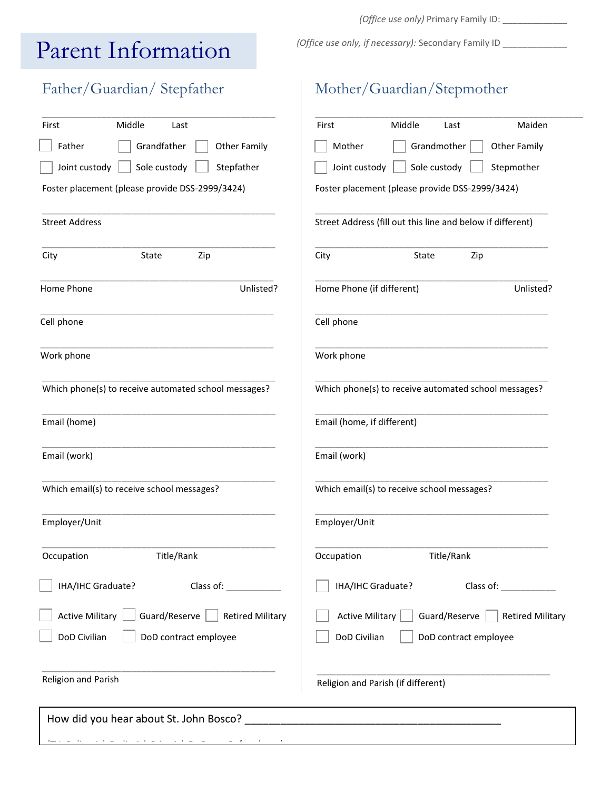## Parent Information

### Father/ Guardian

Email (home)

Email (work)

Employer/Unit

Religion and Parish

| l alchit hiitomitation                          |                                                            |  |  |  |
|-------------------------------------------------|------------------------------------------------------------|--|--|--|
| Father/Guardian/Stepfather                      | Mother/Guardian/Stepmother                                 |  |  |  |
| Middle<br>First<br>Last                         | Middle<br>Maiden<br>First<br>Last                          |  |  |  |
| Father<br>Grandfather<br><b>Other Family</b>    | Grandmother<br>Mother<br>Other Family                      |  |  |  |
| Joint custody<br>Sole custody<br>Stepfather     | Joint custody<br>Sole custody<br>Stepmother                |  |  |  |
| Foster placement (please provide DSS-2999/3424) | Foster placement (please provide DSS-2999/3424)            |  |  |  |
| <b>Street Address</b>                           | Street Address (fill out this line and below if different) |  |  |  |
| City<br>State<br>Zip                            | City<br>State<br>Zip                                       |  |  |  |
| Home Phone<br>Unlisted?                         | Home Phone (if different)<br>Unlisted?                     |  |  |  |
| Cell phone                                      | Cell phone                                                 |  |  |  |
| Work phone                                      | Work phone                                                 |  |  |  |

Which phone(s) to receive automated school messages?

\_\_\_\_\_\_\_\_\_\_\_\_\_\_\_\_\_\_\_\_\_\_\_\_\_\_\_\_\_\_\_\_\_\_\_\_\_\_\_\_\_\_\_\_\_\_\_

\_\_\_\_\_\_\_\_\_\_\_\_\_\_\_\_\_\_\_\_\_\_\_\_\_\_\_\_\_\_\_\_\_\_\_\_\_\_\_\_\_\_\_\_\_\_\_

\_\_\_\_\_\_\_\_\_\_\_\_\_\_\_\_\_\_\_\_\_\_\_\_\_\_\_\_\_\_\_\_\_\_\_\_\_\_\_\_\_\_\_\_\_\_\_

\_\_\_\_\_\_\_\_\_\_\_\_\_\_\_\_\_\_\_\_\_\_\_\_\_\_\_\_\_\_\_\_\_\_\_\_\_\_\_\_\_\_\_\_\_\_\_

Email (home, if different)

Email (work)

Which email(s) to receive school messages?

\_\_\_\_\_\_\_\_\_\_\_\_\_\_\_\_\_\_\_\_\_\_\_\_\_\_\_\_\_\_\_\_\_\_\_\_\_\_\_\_\_\_\_\_\_\_\_ Employer/Unit

\_\_\_\_\_\_\_\_\_\_\_\_\_\_\_\_\_\_\_\_\_\_\_\_\_\_\_\_\_\_\_\_\_\_\_\_\_\_\_\_\_\_\_\_\_\_\_ Occupation Title/Rank

IHA/IHC Graduate? Class of:

\_\_\_\_\_\_\_\_\_\_\_\_\_\_\_\_\_\_\_\_\_\_\_\_\_\_\_\_\_\_\_\_\_\_\_\_\_\_\_\_\_\_\_\_\_\_\_

Active Military Guard/Reserve  $\Box$  Retired Military

DoD Civilian | DoD contract employee

Religion and Parish (if different)

How did you hear about St. John Bosco? **Example 20** 

DoD Civilian | DoD contract employee

\_\_\_\_\_\_\_\_\_\_\_\_\_\_\_\_\_\_\_\_\_\_\_\_\_\_\_\_\_\_\_\_\_\_\_\_\_\_\_\_\_\_\_\_\_\_\_

\_\_\_\_\_\_\_\_\_\_\_\_\_\_\_\_\_\_\_\_\_\_\_\_\_\_\_\_\_\_\_\_\_\_\_\_\_\_\_\_\_\_\_\_\_\_\_ Which phone(s) to receive automated school messages?

\_\_\_\_\_\_\_\_\_\_\_\_\_\_\_\_\_\_\_\_\_\_\_\_\_\_\_\_\_\_\_\_\_\_\_\_\_\_\_\_\_\_\_\_\_\_\_

\_\_\_\_\_\_\_\_\_\_\_\_\_\_\_\_\_\_\_\_\_\_\_\_\_\_\_\_\_\_\_\_\_\_\_\_\_\_\_\_\_\_\_\_\_\_\_

\_\_\_\_\_\_\_\_\_\_\_\_\_\_\_\_\_\_\_\_\_\_\_\_\_\_\_\_\_\_\_\_\_\_\_\_\_\_\_\_\_\_\_\_\_\_\_

\_\_\_\_\_\_\_\_\_\_\_\_\_\_\_\_\_\_\_\_\_\_\_\_\_\_\_\_\_\_\_\_\_\_\_\_\_\_\_\_\_\_\_\_\_\_\_

\_\_\_\_\_\_\_\_\_\_\_\_\_\_\_\_\_\_\_\_\_\_\_\_\_\_\_\_\_\_\_\_\_\_\_\_\_\_\_\_\_\_\_\_\_\_\_

IHA/IHC Graduate? Class of: \_\_\_\_\_\_\_\_\_\_\_

Active Military  $\Box$  Guard/Reserve  $\Box$  Retired Military

Which email(s) to receive school messages?

Occupation Title/Rank

(TV, Online Ad, Radio Ad, Print Ad, Ft. Drum, Referral, etc.)

*(Office use only)* Primary Family ID: \_\_\_\_\_\_\_\_\_\_\_\_\_

*(Office use only, if necessary): Secondary Family ID \_\_*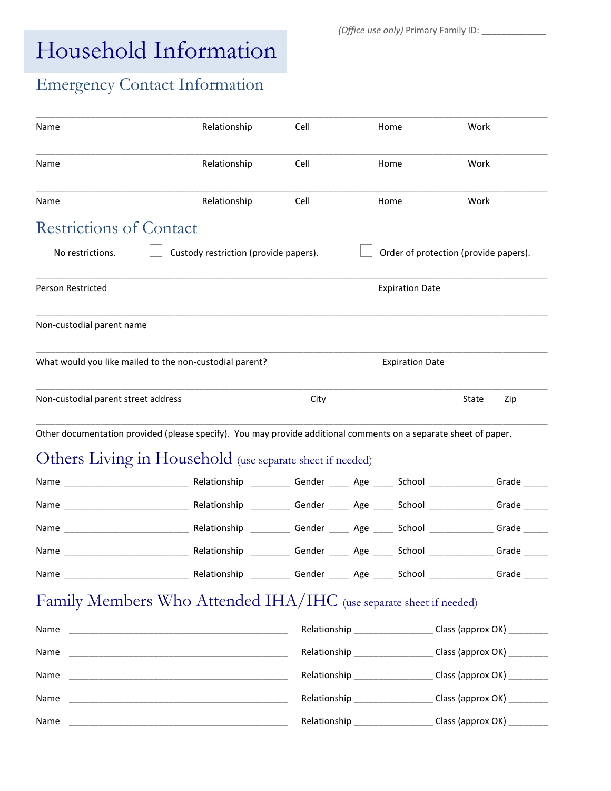## Household Information

 *(Office use only)* Primary Family ID: \_\_\_\_\_\_\_\_\_\_\_\_\_

### Emergency Contact Information

| Name                                | Relationship                                                                                                     | Cell                                                               |  | Home                   | Work                                                            |
|-------------------------------------|------------------------------------------------------------------------------------------------------------------|--------------------------------------------------------------------|--|------------------------|-----------------------------------------------------------------|
| Name                                | Relationship                                                                                                     | Cell                                                               |  | Home                   | Work                                                            |
| Name                                | Relationship                                                                                                     | Cell                                                               |  | Home                   | Work                                                            |
| <b>Restrictions of Contact</b>      |                                                                                                                  |                                                                    |  |                        |                                                                 |
| No restrictions.                    | Custody restriction (provide papers).                                                                            |                                                                    |  |                        | Order of protection (provide papers).                           |
| Person Restricted                   |                                                                                                                  |                                                                    |  | <b>Expiration Date</b> |                                                                 |
| Non-custodial parent name           |                                                                                                                  |                                                                    |  |                        |                                                                 |
|                                     | What would you like mailed to the non-custodial parent?                                                          |                                                                    |  | <b>Expiration Date</b> |                                                                 |
| Non-custodial parent street address |                                                                                                                  | City                                                               |  |                        | Zip<br>State                                                    |
|                                     | Other documentation provided (please specify). You may provide additional comments on a separate sheet of paper. |                                                                    |  |                        |                                                                 |
|                                     | Others Living in Household (use separate sheet if needed)                                                        |                                                                    |  |                        |                                                                 |
|                                     |                                                                                                                  |                                                                    |  |                        |                                                                 |
|                                     |                                                                                                                  |                                                                    |  |                        |                                                                 |
|                                     |                                                                                                                  |                                                                    |  |                        |                                                                 |
| Name                                | Relationship __________Gender ______ Age _____ School _____________Grade ____                                    |                                                                    |  |                        |                                                                 |
|                                     |                                                                                                                  |                                                                    |  |                        |                                                                 |
|                                     | Family Members Who Attended IHA/IHC (use separate sheet if needed)                                               |                                                                    |  |                        |                                                                 |
| Name                                |                                                                                                                  |                                                                    |  |                        | Relationship ______________________Class (approx OK) __________ |
| Name                                |                                                                                                                  |                                                                    |  |                        | Relationship ______________________Class (approx OK) __________ |
| Name                                |                                                                                                                  |                                                                    |  |                        | Relationship ______________________Class (approx OK) __________ |
| Name                                |                                                                                                                  | Relationship ________________________Class (approx OK) ___________ |  |                        |                                                                 |

Name \_\_\_\_\_\_\_\_\_\_\_\_\_\_\_\_\_\_\_\_\_\_\_\_\_\_\_\_\_\_\_\_\_\_\_\_\_\_\_\_\_\_\_\_ Relationship \_\_\_\_\_\_\_\_\_\_\_\_\_\_\_\_ Class (approx OK) \_\_\_\_\_\_\_\_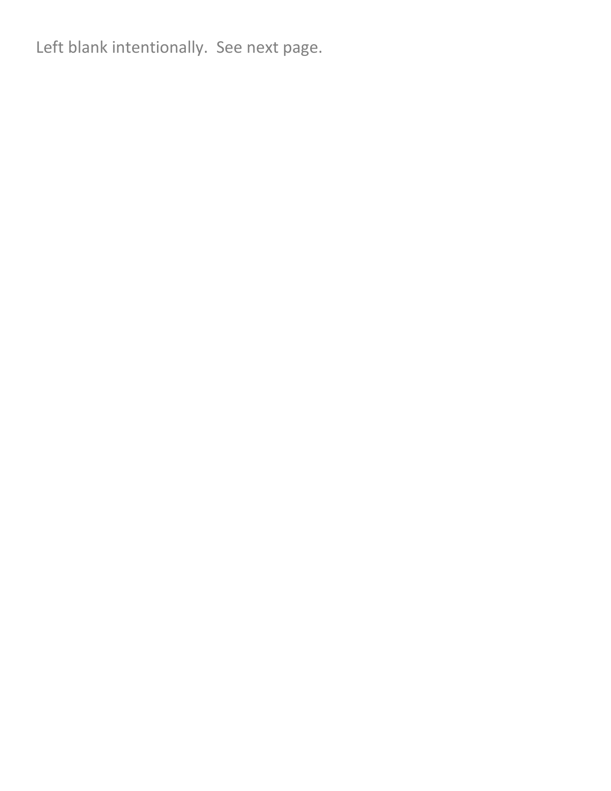Left blank intentionally. See next page.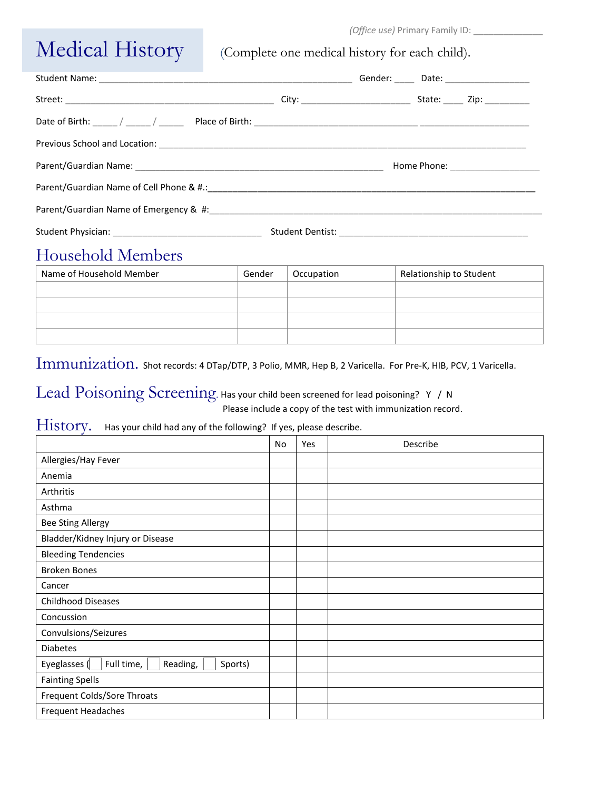#### *(Office use)* Primary Family ID: \_\_\_\_\_\_\_\_\_\_\_\_\_\_

## Medical History (Complete one medical history for each child).

|  |  | Gender: _____ Date: __________________ |
|--|--|----------------------------------------|
|  |  | State: _____ Zip: __________           |
|  |  |                                        |
|  |  |                                        |
|  |  |                                        |
|  |  |                                        |
|  |  |                                        |
|  |  |                                        |

### Household Members

| Name of Household Member | Gender | Occupation | Relationship to Student |
|--------------------------|--------|------------|-------------------------|
|                          |        |            |                         |
|                          |        |            |                         |
|                          |        |            |                         |
|                          |        |            |                         |

Immunization. Shot records: 4 DTap/DTP, 3 Polio, MMR, Hep B, 2 Varicella. For Pre-K, HIB, PCV, 1 Varicella.

#### Lead Poisoning Screening. Has your child been screened for lead poisoning? Y / N Please include a copy of the test with immunization record.

#### History. Has your child had any of the following? If yes, please describe.

|                                                   | No | Yes | Describe |
|---------------------------------------------------|----|-----|----------|
| Allergies/Hay Fever                               |    |     |          |
| Anemia                                            |    |     |          |
| Arthritis                                         |    |     |          |
| Asthma                                            |    |     |          |
| <b>Bee Sting Allergy</b>                          |    |     |          |
| Bladder/Kidney Injury or Disease                  |    |     |          |
| <b>Bleeding Tendencies</b>                        |    |     |          |
| <b>Broken Bones</b>                               |    |     |          |
| Cancer                                            |    |     |          |
| <b>Childhood Diseases</b>                         |    |     |          |
| Concussion                                        |    |     |          |
| Convulsions/Seizures                              |    |     |          |
| <b>Diabetes</b>                                   |    |     |          |
| Full time,<br>Eyeglasses (<br>Reading,<br>Sports) |    |     |          |
| <b>Fainting Spells</b>                            |    |     |          |
| Frequent Colds/Sore Throats                       |    |     |          |
| Frequent Headaches                                |    |     |          |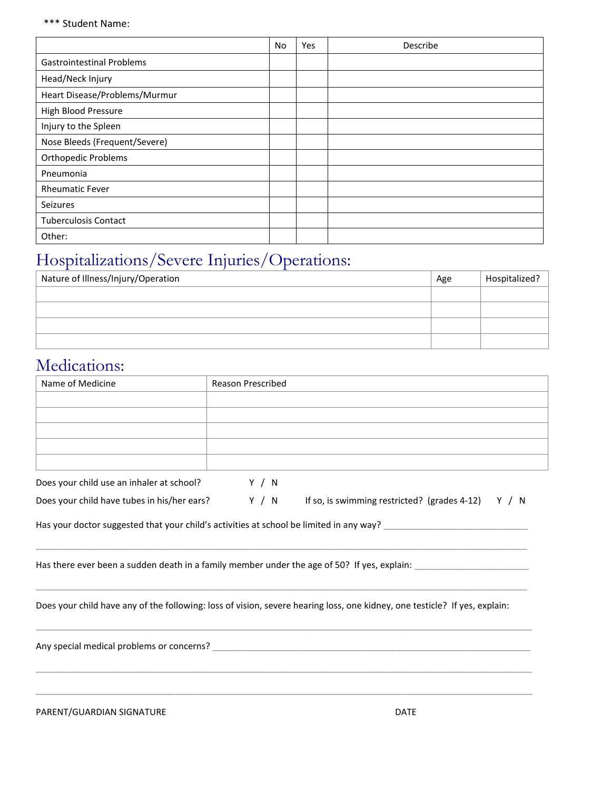#### \*\*\* Student Name:

|                                  | No | Yes | Describe |
|----------------------------------|----|-----|----------|
| <b>Gastrointestinal Problems</b> |    |     |          |
| Head/Neck Injury                 |    |     |          |
| Heart Disease/Problems/Murmur    |    |     |          |
| High Blood Pressure              |    |     |          |
| Injury to the Spleen             |    |     |          |
| Nose Bleeds (Frequent/Severe)    |    |     |          |
| <b>Orthopedic Problems</b>       |    |     |          |
| Pneumonia                        |    |     |          |
| <b>Rheumatic Fever</b>           |    |     |          |
| Seizures                         |    |     |          |
| <b>Tuberculosis Contact</b>      |    |     |          |
| Other:                           |    |     |          |

### Hospitalizations/Severe Injuries/Operations:

| Nature of Illness/Injury/Operation | Age | Hospitalized? |
|------------------------------------|-----|---------------|
|                                    |     |               |
|                                    |     |               |
|                                    |     |               |
|                                    |     |               |

### Medications:

| Name of Medicine                            | <b>Reason Prescribed</b>                                                                                                   |
|---------------------------------------------|----------------------------------------------------------------------------------------------------------------------------|
|                                             |                                                                                                                            |
|                                             |                                                                                                                            |
|                                             |                                                                                                                            |
|                                             |                                                                                                                            |
|                                             |                                                                                                                            |
| Does your child use an inhaler at school?   | Y / N                                                                                                                      |
| Does your child have tubes in his/her ears? | Y / N If so, is swimming restricted? (grades 4-12) Y / N                                                                   |
|                                             | Has there ever been a sudden death in a family member under the age of 50? If yes, explain: __________________             |
|                                             | Does your child have any of the following: loss of vision, severe hearing loss, one kidney, one testicle? If yes, explain: |
|                                             |                                                                                                                            |
|                                             |                                                                                                                            |

PARENT/GUARDIAN SIGNATURE THE RESERVE OF THE RESERVE OF THE RESERVE OF THE RESERVE OF THE RESERVE OF THE RESERVE OF THE RESERVE OF THE RESERVE OF THE RESERVE OF THE RESERVE OF THE RESERVE OF THE RESERVE OF THE RESERVE OF T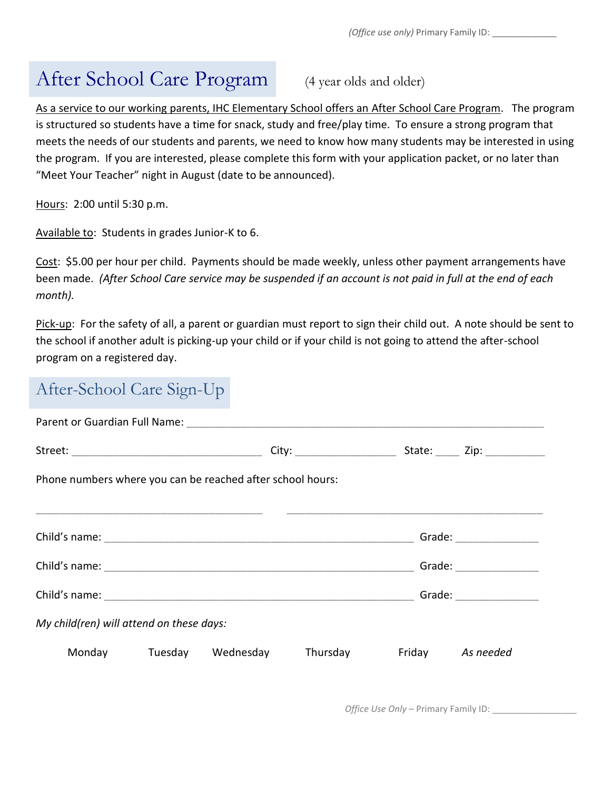### After School Care Program (4 year olds and older)

As a service to our working parents, IHC Elementary School offers an After School Care Program. The program is structured so students have a time for snack, study and free/play time. To ensure a strong program that meets the needs of our students and parents, we need to know how many students may be interested in using the program. If you are interested, please complete this form with your application packet, or no later than "Meet Your Teacher" night in August (date to be announced).

Hours: 2:00 until 5:30 p.m.

Available to: Students in grades Junior-K to 6.

Cost: \$5.00 per hour per child. Payments should be made weekly, unless other payment arrangements have been made. *(After School Care service may be suspended if an account is not paid in full at the end of each month).*

Pick-up: For the safety of all, a parent or guardian must report to sign their child out. A note should be sent to the school if another adult is picking-up your child or if your child is not going to attend the after-school program on a registered day.

### After-School Care Sign-Up

|                                                            |  |  | City: _________________________                    |  | State: Zip:                                                                                                                                                                                                                    |  |  |
|------------------------------------------------------------|--|--|----------------------------------------------------|--|--------------------------------------------------------------------------------------------------------------------------------------------------------------------------------------------------------------------------------|--|--|
| Phone numbers where you can be reached after school hours: |  |  |                                                    |  |                                                                                                                                                                                                                                |  |  |
|                                                            |  |  |                                                    |  |                                                                                                                                                                                                                                |  |  |
|                                                            |  |  |                                                    |  |                                                                                                                                                                                                                                |  |  |
|                                                            |  |  |                                                    |  | Grade: The Contract of the Contract of the Contract of the Contract of the Contract of the Contract of the Contract of the Contract of the Contract of the Contract of the Contract of the Contract of the Contract of the Con |  |  |
|                                                            |  |  |                                                    |  | Grade: The Contract of the Contract of the Contract of the Contract of the Contract of the Contract of the Contract of the Contract of the Contract of the Contract of the Contract of the Contract of the Contract of the Con |  |  |
| My child(ren) will attend on these days:                   |  |  |                                                    |  |                                                                                                                                                                                                                                |  |  |
|                                                            |  |  | Monday Tuesday Wednesday Thursday Friday As needed |  |                                                                                                                                                                                                                                |  |  |

*Office Use Only - Primary Family ID:*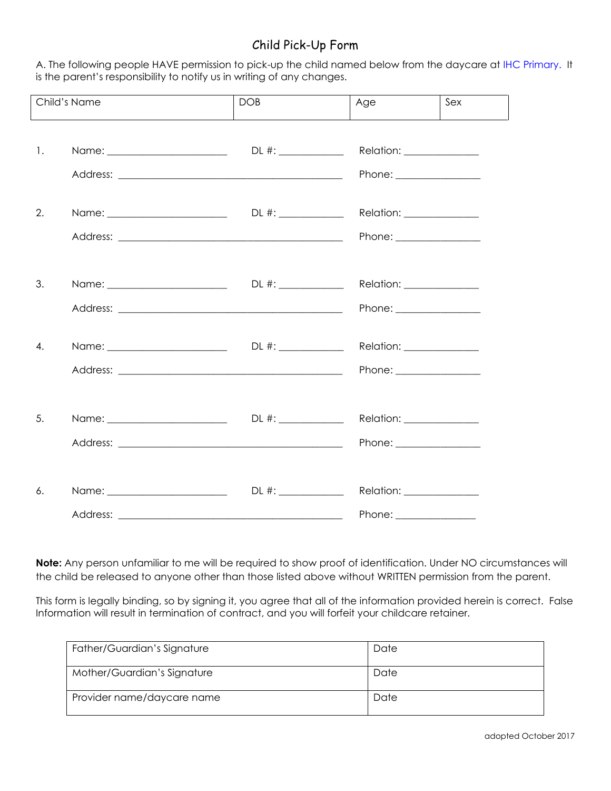#### Child Pick-Up Form

A. The following people HAVE permission to pick-up the child named below from the daycare at IHC Primary. It is the parent's responsibility to notify us in writing of any changes.

|    | Child's Name                      | <b>DOB</b> | Age                                                          | Sex |
|----|-----------------------------------|------------|--------------------------------------------------------------|-----|
| 1. |                                   |            | Relation: Network<br>Phone: ________________                 |     |
| 2. |                                   |            | Relation: <u>________________</u><br>Phone: ________________ |     |
| 3. |                                   |            | Relation: <u>________________</u><br>Phone: ________________ |     |
| 4. |                                   |            | Relation: Network<br>Phone: ________________                 |     |
| 5. |                                   |            | Relation: _______________<br>Phone: ________________         |     |
| 6. | Name: ___________________________ |            | Relation: _______________<br>Phone: _________________        |     |

**Note:** Any person unfamiliar to me will be required to show proof of identification. Under NO circumstances will the child be released to anyone other than those listed above without WRITTEN permission from the parent.

This form is legally binding, so by signing it, you agree that all of the information provided herein is correct. False Information will result in termination of contract, and you will forfeit your childcare retainer.

| Father/Guardian's Signature | Date |
|-----------------------------|------|
| Mother/Guardian's Signature | Date |
| Provider name/daycare name  | Date |